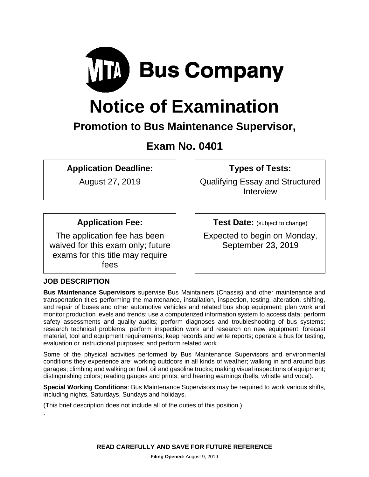

# **Notice of Examination**

# **Promotion to Bus Maintenance Supervisor,**

## **Exam No. 0401**

**Application Deadline:**

August 27, 2019

**Types of Tests:** 

Qualifying Essay and Structured Interview

### **Application Fee:**

The application fee has been waived for this exam only; future exams for this title may require fees

**Test Date:** (subject to change)

Expected to begin on Monday, September 23, 2019

#### **JOB DESCRIPTION**

.

**Bus Maintenance Supervisors** supervise Bus Maintainers (Chassis) and other maintenance and transportation titles performing the maintenance, installation, inspection, testing, alteration, shifting, and repair of buses and other automotive vehicles and related bus shop equipment; plan work and monitor production levels and trends; use a computerized information system to access data; perform safety assessments and quality audits; perform diagnoses and troubleshooting of bus systems; research technical problems; perform inspection work and research on new equipment; forecast material, tool and equipment requirements; keep records and write reports; operate a bus for testing, evaluation or instructional purposes; and perform related work.

Some of the physical activities performed by Bus Maintenance Supervisors and environmental conditions they experience are: working outdoors in all kinds of weather; walking in and around bus garages; climbing and walking on fuel, oil and gasoline trucks; making visual inspections of equipment; distinguishing colors; reading gauges and prints; and hearing warnings (bells, whistle and vocal).

**Special Working Conditions**: Bus Maintenance Supervisors may be required to work various shifts, including nights, Saturdays, Sundays and holidays.

(This brief description does not include all of the duties of this position.)

**READ CAREFULLY AND SAVE FOR FUTURE REFERENCE**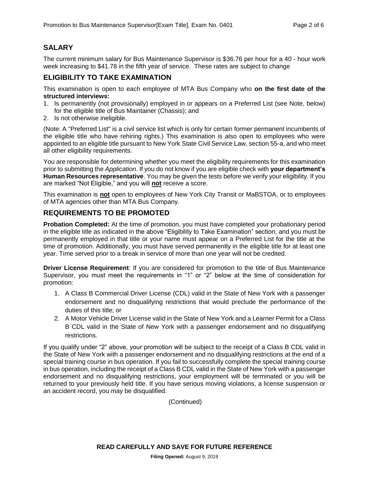#### **SALARY**

The current minimum salary for Bus Maintenance Supervisor is \$36.76 per hour for a 40 - hour work week increasing to \$41.78 in the fifth year of service. These rates are subject to change

#### **ELIGIBILITY TO TAKE EXAMINATION**

This examination is open to each employee of MTA Bus Company who **on the first date of the structured interviews:**

- 1. Is permanently (not provisionally) employed in or appears on a Preferred List (see Note, below) for the eligible title of Bus Maintainer (Chassis); and
- 2. Is not otherwise ineligible.

(Note: A "Preferred List" is a civil service list which is only for certain former permanent incumbents of the eligible title who have rehiring rights.) This examination is also open to employees who were appointed to an eligible title pursuant to New York State Civil Service Law, section 55-a, and who meet all other eligibility requirements.

You are responsible for determining whether you meet the eligibility requirements for this examination prior to submitting the *Application*. If you do not know if you are eligible check with **your department's Human Resources representative**. You may be given the tests before we verify your eligibility. If you are marked "Not Eligible," and you will **not** receive a score.

This examination is **not** open to employees of New York City Transit or MaBSTOA, or to employees of MTA agencies other than MTA Bus Company.

#### **REQUIREMENTS TO BE PROMOTED**

**Probation Completed:** At the time of promotion, you must have completed your probationary period in the eligible title as indicated in the above "Eligibility to Take Examination" section, and you must be permanently employed in that title or your name must appear on a Preferred List for the title at the time of promotion. Additionally, you must have served permanently in the eligible title for at least one year. Time served prior to a break in service of more than one year will not be credited.

**Driver License Requirement**: If you are considered for promotion to the title of Bus Maintenance Supervisor, you must meet the requirements in "1" or "2" below at the time of consideration for promotion:

- 1. A Class B Commercial Driver License (CDL) valid in the State of New York with a passenger endorsement and no disqualifying restrictions that would preclude the performance of the duties of this title; or
- 2. A Motor Vehicle Driver License valid in the State of New York and a Learner Permit for a Class B CDL valid in the State of New York with a passenger endorsement and no disqualifying restrictions.

If you qualify under "2" above, your promotion will be subject to the receipt of a Class B CDL valid in the State of New York with a passenger endorsement and no disqualifying restrictions at the end of a special training course in bus operation. If you fail to successfully complete the special training course in bus operation, including the receipt of a Class B CDL valid in the State of New York with a passenger endorsement and no disqualifying restrictions, your employment will be terminated or you will be returned to your previously held title. If you have serious moving violations, a license suspension or an accident record, you may be disqualified.

(Continued)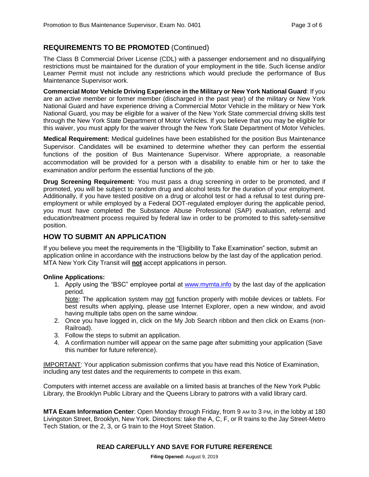#### **REQUIREMENTS TO BE PROMOTED** (Continued)

The Class B Commercial Driver License (CDL) with a passenger endorsement and no disqualifying restrictions must be maintained for the duration of your employment in the title. Such license and/or Learner Permit must not include any restrictions which would preclude the performance of Bus Maintenance Supervisor work.

**Commercial Motor Vehicle Driving Experience in the Military or New York National Guard**: If you are an active member or former member (discharged in the past year) of the military or New York National Guard and have experience driving a Commercial Motor Vehicle in the military or New York National Guard, you may be eligible for a waiver of the New York State commercial driving skills test through the New York State Department of Motor Vehicles. If you believe that you may be eligible for this waiver, you must apply for the waiver through the New York State Department of Motor Vehicles.

**Medical Requirement:** Medical guidelines have been established for the position Bus Maintenance Supervisor. Candidates will be examined to determine whether they can perform the essential functions of the position of Bus Maintenance Supervisor. Where appropriate, a reasonable accommodation will be provided for a person with a disability to enable him or her to take the examination and/or perform the essential functions of the job.

**Drug Screening Requirement:** You must pass a drug screening in order to be promoted, and if promoted, you will be subject to random drug and alcohol tests for the duration of your employment. Additionally, if you have tested positive on a drug or alcohol test or had a refusal to test during preemployment or while employed by a Federal DOT-regulated employer during the applicable period, you must have completed the Substance Abuse Professional (SAP) evaluation, referral and education/treatment process required by federal law in order to be promoted to this safety-sensitive position.

#### **HOW TO SUBMIT AN APPLICATION**

If you believe you meet the requirements in the "Eligibility to Take Examination" section, submit an application online in accordance with the instructions below by the last day of the application period. MTA New York City Transit will **not** accept applications in person.

#### **Online Applications:**

1. Apply using the "BSC" employee portal at [www.mymta.info](http://www.mymta.info/) by the last day of the application period.

Note: The application system may not function properly with mobile devices or tablets. For best results when applying, please use Internet Explorer, open a new window, and avoid having multiple tabs open on the same window.

- 2. Once you have logged in, click on the My Job Search ribbon and then click on Exams (non-Railroad).
- 3. Follow the steps to submit an application.
- 4. A confirmation number will appear on the same page after submitting your application (Save this number for future reference).

IMPORTANT: Your application submission confirms that you have read this Notice of Examination, including any test dates and the requirements to compete in this exam.

Computers with internet access are available on a limited basis at branches of the New York Public Library, the Brooklyn Public Library and the Queens Library to patrons with a valid library card.

**MTA Exam Information Center**: Open Monday through Friday, from 9 AM to 3 PM, in the lobby at 180 Livingston Street, Brooklyn, New York. Directions: take the A, C, F, or R trains to the Jay Street-Metro Tech Station, or the 2, 3, or G train to the Hoyt Street Station.

#### **READ CAREFULLY AND SAVE FOR FUTURE REFERENCE**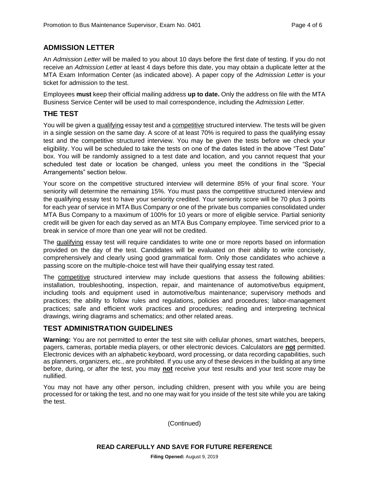#### **ADMISSION LETTER**

An *Admission Letter* will be mailed to you about 10 days before the first date of testing. If you do not receive an *Admission Letter* at least 4 days before this date, you may obtain a duplicate letter at the MTA Exam Information Center (as indicated above). A paper copy of the *Admission Letter* is your ticket for admission to the test.

Employees **must** keep their official mailing address **up to date.** Only the address on file with the MTA Business Service Center will be used to mail correspondence, including the *Admission Letter.*

#### **THE TEST**

You will be given a qualifying essay test and a competitive structured interview. The tests will be given in a single session on the same day. A score of at least 70% is required to pass the qualifying essay test and the competitive structured interview. You may be given the tests before we check your eligibility. You will be scheduled to take the tests on one of the dates listed in the above "Test Date" box. You will be randomly assigned to a test date and location, and you cannot request that your scheduled test date or location be changed, unless you meet the conditions in the "Special Arrangements" section below.

Your score on the competitive structured interview will determine 85% of your final score. Your seniority will determine the remaining 15%. You must pass the competitive structured interview and the qualifying essay test to have your seniority credited. Your seniority score will be 70 plus 3 points for each year of service in MTA Bus Company or one of the private bus companies consolidated under MTA Bus Company to a maximum of 100% for 10 years or more of eligible service. Partial seniority credit will be given for each day served as an MTA Bus Company employee. Time serviced prior to a break in service of more than one year will not be credited.

The qualifying essay test will require candidates to write one or more reports based on information provided on the day of the test. Candidates will be evaluated on their ability to write concisely, comprehensively and clearly using good grammatical form. Only those candidates who achieve a passing score on the multiple-choice test will have their qualifying essay test rated.

The competitive structured interview may include questions that assess the following abilities: installation, troubleshooting, inspection, repair, and maintenance of automotive/bus equipment, including tools and equipment used in automotive/bus maintenance; supervisory methods and practices; the ability to follow rules and regulations, policies and procedures; labor-management practices; safe and efficient work practices and procedures; reading and interpreting technical drawings, wiring diagrams and schematics; and other related areas.

#### **TEST ADMINISTRATION GUIDELINES**

**Warning:** You are not permitted to enter the test site with cellular phones, smart watches, beepers, pagers, cameras, portable media players, or other electronic devices. Calculators are **not** permitted. Electronic devices with an alphabetic keyboard, word processing, or data recording capabilities, such as planners, organizers, etc., are prohibited. If you use any of these devices in the building at any time before, during, or after the test, you may **not** receive your test results and your test score may be nullified.

You may not have any other person, including children, present with you while you are being processed for or taking the test, and no one may wait for you inside of the test site while you are taking the test.

(Continued)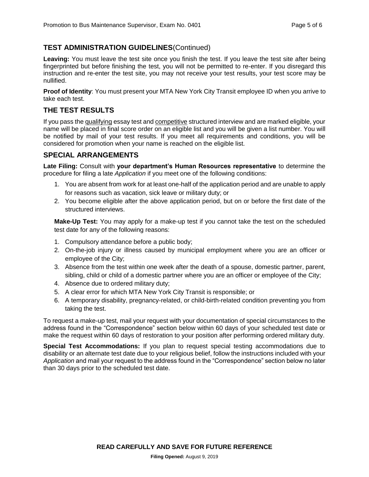#### **TEST ADMINISTRATION GUIDELINES**(Continued)

**Leaving:** You must leave the test site once you finish the test. If you leave the test site after being fingerprinted but before finishing the test, you will not be permitted to re-enter. If you disregard this instruction and re-enter the test site, you may not receive your test results, your test score may be nullified.

**Proof of Identity**: You must present your MTA New York City Transit employee ID when you arrive to take each test.

#### **THE TEST RESULTS**

If you pass the qualifying essay test and competitive structured interview and are marked eligible, your name will be placed in final score order on an eligible list and you will be given a list number. You will be notified by mail of your test results. If you meet all requirements and conditions, you will be considered for promotion when your name is reached on the eligible list.

#### **SPECIAL ARRANGEMENTS**

**Late Filing:** Consult with **your department's Human Resources representative** to determine the procedure for filing a late *Application* if you meet one of the following conditions:

- 1. You are absent from work for at least one-half of the application period and are unable to apply for reasons such as vacation, sick leave or military duty; or
- 2. You become eligible after the above application period, but on or before the first date of the structured interviews.

**Make-Up Test:** You may apply for a make-up test if you cannot take the test on the scheduled test date for any of the following reasons:

- 1. Compulsory attendance before a public body;
- 2. On-the-job injury or illness caused by municipal employment where you are an officer or employee of the City;
- 3. Absence from the test within one week after the death of a spouse, domestic partner, parent, sibling, child or child of a domestic partner where you are an officer or employee of the City;
- 4. Absence due to ordered military duty;
- 5. A clear error for which MTA New York City Transit is responsible; or
- 6. A temporary disability, pregnancy-related, or child-birth-related condition preventing you from taking the test.

To request a make-up test, mail your request with your documentation of special circumstances to the address found in the "Correspondence" section below within 60 days of your scheduled test date or make the request within 60 days of restoration to your position after performing ordered military duty.

**Special Test Accommodations:** If you plan to request special testing accommodations due to disability or an alternate test date due to your religious belief, follow the instructions included with your *Application* and mail your request to the address found in the "Correspondence" section below no later than 30 days prior to the scheduled test date.